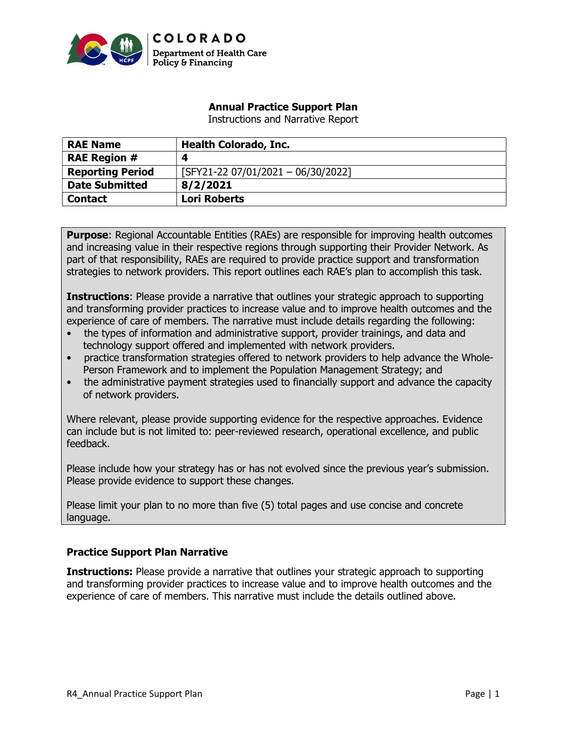

# Annual Practice Support Plan

Instructions and Narrative Report

| <b>RAE Name</b>         | <b>Health Colorado, Inc.</b>       |
|-------------------------|------------------------------------|
| <b>RAE Region #</b>     | 4                                  |
| <b>Reporting Period</b> | [SFY21-22 07/01/2021 - 06/30/2022] |
| <b>Date Submitted</b>   | 8/2/2021                           |
| <b>Contact</b>          | <b>Lori Roberts</b>                |

**Purpose:** Regional Accountable Entities (RAEs) are responsible for improving health outcomes and increasing value in their respective regions through supporting their Provider Network. As part of that responsibility, RAEs are required to provide practice support and transformation strategies to network providers. This report outlines each RAE's plan to accomplish this task.

**Instructions:** Please provide a narrative that outlines your strategic approach to supporting and transforming provider practices to increase value and to improve health outcomes and the experience of care of members. The narrative must include details regarding the following:

- the types of information and administrative support, provider trainings, and data and technology support offered and implemented with network providers.
- practice transformation strategies offered to network providers to help advance the Whole-Person Framework and to implement the Population Management Strategy; and
- the administrative payment strategies used to financially support and advance the capacity of network providers.

Where relevant, please provide supporting evidence for the respective approaches. Evidence can include but is not limited to: peer-reviewed research, operational excellence, and public feedback.

Please include how your strategy has or has not evolved since the previous year's submission. Please provide evidence to support these changes.

Please limit your plan to no more than five (5) total pages and use concise and concrete language.

# Practice Support Plan Narrative

**Instructions:** Please provide a narrative that outlines your strategic approach to supporting and transforming provider practices to increase value and to improve health outcomes and the experience of care of members. This narrative must include the details outlined above.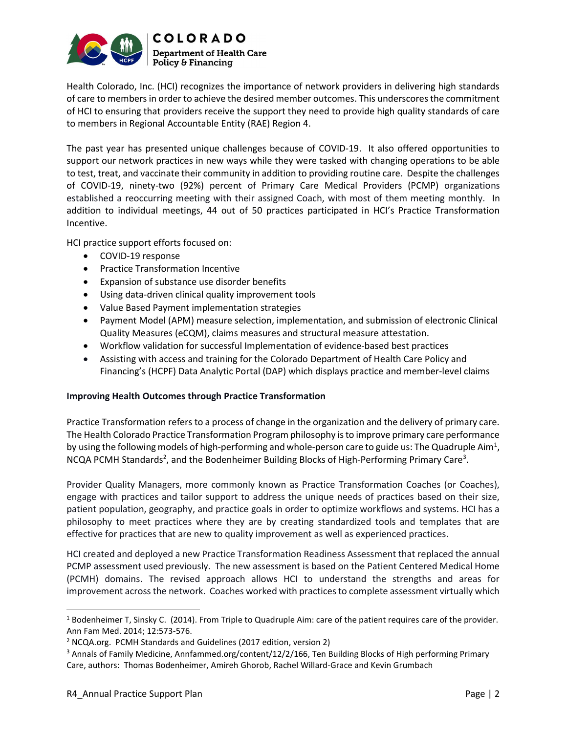

Health Colorado, Inc. (HCI) recognizes the importance of network providers in delivering high standards of care to members in order to achieve the desired member outcomes. This underscores the commitment of HCI to ensuring that providers receive the support they need to provide high quality standards of care to members in Regional Accountable Entity (RAE) Region 4.

The past year has presented unique challenges because of COVID-19. It also offered opportunities to support our network practices in new ways while they were tasked with changing operations to be able to test, treat, and vaccinate their community in addition to providing routine care. Despite the challenges of COVID-19, ninety-two (92%) percent of Primary Care Medical Providers (PCMP) organizations established a reoccurring meeting with their assigned Coach, with most of them meeting monthly. In addition to individual meetings, 44 out of 50 practices participated in HCI's Practice Transformation Incentive.

HCI practice support efforts focused on:

- COVID-19 response
- Practice Transformation Incentive
- Expansion of substance use disorder benefits
- Using data-driven clinical quality improvement tools
- Value Based Payment implementation strategies
- Payment Model (APM) measure selection, implementation, and submission of electronic Clinical Quality Measures (eCQM), claims measures and structural measure attestation.
- Workflow validation for successful Implementation of evidence-based best practices
- Assisting with access and training for the Colorado Department of Health Care Policy and Financing's (HCPF) Data Analytic Portal (DAP) which displays practice and member-level claims

#### Improving Health Outcomes through Practice Transformation

Practice Transformation refers to a process of change in the organization and the delivery of primary care. The Health Colorado Practice Transformation Program philosophy is to improve primary care performance by using the following models of high-performing and whole-person care to guide us: The Quadruple Aim<sup>1</sup>, NCQA PCMH Standards<sup>2</sup>, and the Bodenheimer Building Blocks of High-Performing Primary Care<sup>3</sup>.

Provider Quality Managers, more commonly known as Practice Transformation Coaches (or Coaches), engage with practices and tailor support to address the unique needs of practices based on their size, patient population, geography, and practice goals in order to optimize workflows and systems. HCI has a philosophy to meet practices where they are by creating standardized tools and templates that are effective for practices that are new to quality improvement as well as experienced practices.

HCI created and deployed a new Practice Transformation Readiness Assessment that replaced the annual PCMP assessment used previously. The new assessment is based on the Patient Centered Medical Home (PCMH) domains. The revised approach allows HCI to understand the strengths and areas for improvement across the network. Coaches worked with practices to complete assessment virtually which

<sup>1</sup> Bodenheimer T, Sinsky C. (2014). From Triple to Quadruple Aim: care of the patient requires care of the provider. Ann Fam Med. 2014; 12:573-576.

<sup>&</sup>lt;sup>2</sup> NCQA.org. PCMH Standards and Guidelines (2017 edition, version 2)

<sup>&</sup>lt;sup>3</sup> Annals of Family Medicine, Annfammed.org/content/12/2/166, Ten Building Blocks of High performing Primary Care, authors: Thomas Bodenheimer, Amireh Ghorob, Rachel Willard-Grace and Kevin Grumbach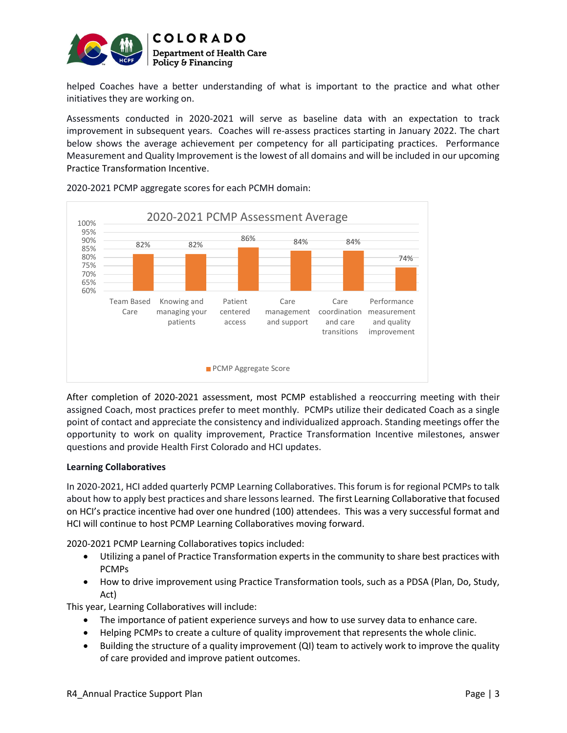

helped Coaches have a better understanding of what is important to the practice and what other initiatives they are working on.

Assessments conducted in 2020-2021 will serve as baseline data with an expectation to track improvement in subsequent years. Coaches will re-assess practices starting in January 2022. The chart below shows the average achievement per competency for all participating practices. Performance Measurement and Quality Improvement is the lowest of all domains and will be included in our upcoming Practice Transformation Incentive.



2020-2021 PCMP aggregate scores for each PCMH domain:

After completion of 2020-2021 assessment, most PCMP established a reoccurring meeting with their assigned Coach, most practices prefer to meet monthly. PCMPs utilize their dedicated Coach as a single point of contact and appreciate the consistency and individualized approach. Standing meetings offer the opportunity to work on quality improvement, Practice Transformation Incentive milestones, answer questions and provide Health First Colorado and HCI updates.

## Learning Collaboratives

In 2020-2021, HCI added quarterly PCMP Learning Collaboratives. This forum is for regional PCMPs to talk about how to apply best practices and share lessons learned. The first Learning Collaborative that focused on HCI's practice incentive had over one hundred (100) attendees. This was a very successful format and HCI will continue to host PCMP Learning Collaboratives moving forward.

2020-2021 PCMP Learning Collaboratives topics included:

- Utilizing a panel of Practice Transformation experts in the community to share best practices with PCMPs
- How to drive improvement using Practice Transformation tools, such as a PDSA (Plan, Do, Study, Act)

This year, Learning Collaboratives will include:

- The importance of patient experience surveys and how to use survey data to enhance care.
- Helping PCMPs to create a culture of quality improvement that represents the whole clinic.
- Building the structure of a quality improvement (QI) team to actively work to improve the quality of care provided and improve patient outcomes.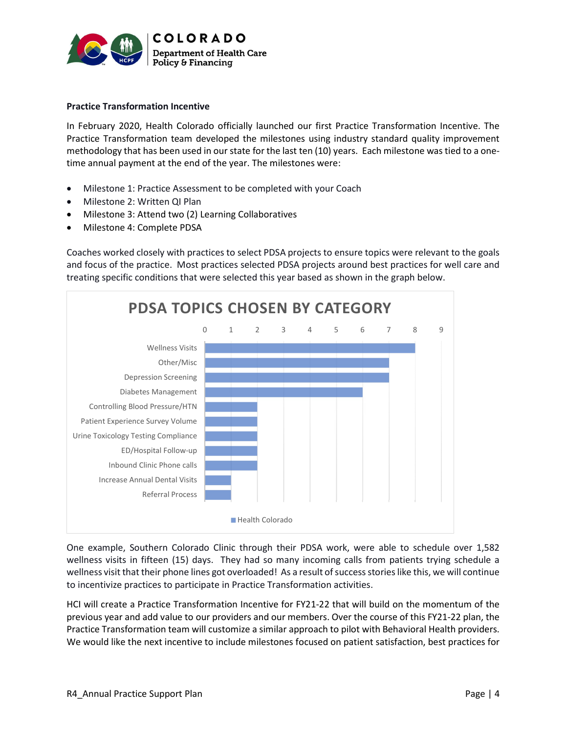

### Practice Transformation Incentive

In February 2020, Health Colorado officially launched our first Practice Transformation Incentive. The Practice Transformation team developed the milestones using industry standard quality improvement methodology that has been used in our state for the last ten (10) years. Each milestone was tied to a onetime annual payment at the end of the year. The milestones were:

- Milestone 1: Practice Assessment to be completed with your Coach
- Milestone 2: Written QI Plan
- Milestone 3: Attend two (2) Learning Collaboratives
- Milestone 4: Complete PDSA

Coaches worked closely with practices to select PDSA projects to ensure topics were relevant to the goals and focus of the practice. Most practices selected PDSA projects around best practices for well care and treating specific conditions that were selected this year based as shown in the graph below.



One example, Southern Colorado Clinic through their PDSA work, were able to schedule over 1,582 wellness visits in fifteen (15) days. They had so many incoming calls from patients trying schedule a wellness visit that their phone lines got overloaded! As a result of success stories like this, we will continue to incentivize practices to participate in Practice Transformation activities.

HCI will create a Practice Transformation Incentive for FY21-22 that will build on the momentum of the previous year and add value to our providers and our members. Over the course of this FY21-22 plan, the Practice Transformation team will customize a similar approach to pilot with Behavioral Health providers. We would like the next incentive to include milestones focused on patient satisfaction, best practices for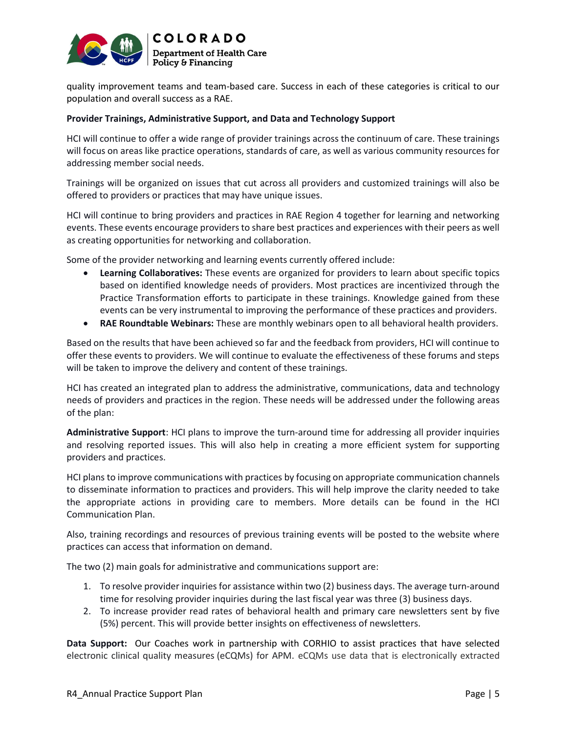

quality improvement teams and team-based care. Success in each of these categories is critical to our population and overall success as a RAE.

#### Provider Trainings, Administrative Support, and Data and Technology Support

HCI will continue to offer a wide range of provider trainings across the continuum of care. These trainings will focus on areas like practice operations, standards of care, as well as various community resources for addressing member social needs.

Trainings will be organized on issues that cut across all providers and customized trainings will also be offered to providers or practices that may have unique issues.

HCI will continue to bring providers and practices in RAE Region 4 together for learning and networking events. These events encourage providers to share best practices and experiences with their peers as well as creating opportunities for networking and collaboration.

Some of the provider networking and learning events currently offered include:

- Learning Collaboratives: These events are organized for providers to learn about specific topics based on identified knowledge needs of providers. Most practices are incentivized through the Practice Transformation efforts to participate in these trainings. Knowledge gained from these events can be very instrumental to improving the performance of these practices and providers.
- RAE Roundtable Webinars: These are monthly webinars open to all behavioral health providers.

Based on the results that have been achieved so far and the feedback from providers, HCI will continue to offer these events to providers. We will continue to evaluate the effectiveness of these forums and steps will be taken to improve the delivery and content of these trainings.

HCI has created an integrated plan to address the administrative, communications, data and technology needs of providers and practices in the region. These needs will be addressed under the following areas of the plan:

Administrative Support: HCI plans to improve the turn-around time for addressing all provider inquiries and resolving reported issues. This will also help in creating a more efficient system for supporting providers and practices.

HCI plans to improve communications with practices by focusing on appropriate communication channels to disseminate information to practices and providers. This will help improve the clarity needed to take the appropriate actions in providing care to members. More details can be found in the HCI Communication Plan.

Also, training recordings and resources of previous training events will be posted to the website where practices can access that information on demand.

The two (2) main goals for administrative and communications support are:

- 1. To resolve provider inquiries for assistance within two (2) business days. The average turn-around time for resolving provider inquiries during the last fiscal year was three (3) business days.
- 2. To increase provider read rates of behavioral health and primary care newsletters sent by five (5%) percent. This will provide better insights on effectiveness of newsletters.

Data Support: Our Coaches work in partnership with CORHIO to assist practices that have selected electronic clinical quality measures (eCQMs) for APM. eCQMs use data that is electronically extracted